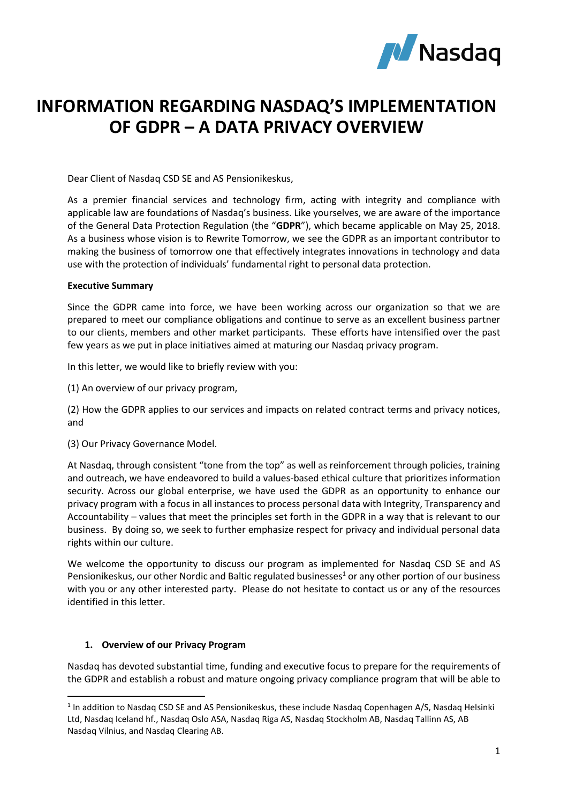

# **INFORMATION REGARDING NASDAQ'S IMPLEMENTATION OF GDPR – A DATA PRIVACY OVERVIEW**

Dear Client of Nasdaq CSD SE and AS Pensionikeskus,

As a premier financial services and technology firm, acting with integrity and compliance with applicable law are foundations of Nasdaq's business. Like yourselves, we are aware of the importance of the General Data Protection Regulation (the "**GDPR**"), which became applicable on May 25, 2018. As a business whose vision is to Rewrite Tomorrow, we see the GDPR as an important contributor to making the business of tomorrow one that effectively integrates innovations in technology and data use with the protection of individuals' fundamental right to personal data protection.

#### **Executive Summary**

Since the GDPR came into force, we have been working across our organization so that we are prepared to meet our compliance obligations and continue to serve as an excellent business partner to our clients, members and other market participants. These efforts have intensified over the past few years as we put in place initiatives aimed at maturing our Nasdaq privacy program.

In this letter, we would like to briefly review with you:

(1) An overview of our privacy program,

(2) How the GDPR applies to our services and impacts on related contract terms and privacy notices, and

(3) Our Privacy Governance Model.

At Nasdaq, through consistent "tone from the top" as well as reinforcement through policies, training and outreach, we have endeavored to build a values-based ethical culture that prioritizes information security. Across our global enterprise, we have used the GDPR as an opportunity to enhance our privacy program with a focus in all instances to process personal data with Integrity, Transparency and Accountability – values that meet the principles set forth in the GDPR in a way that is relevant to our business. By doing so, we seek to further emphasize respect for privacy and individual personal data rights within our culture.

We welcome the opportunity to discuss our program as implemented for Nasdaq CSD SE and AS Pensionikeskus, our other Nordic and Baltic regulated businesses<sup>1</sup> or any other portion of our business with you or any other interested party. Please do not hesitate to contact us or any of the resources identified in this letter.

#### **1. Overview of our Privacy Program**

**.** 

Nasdaq has devoted substantial time, funding and executive focus to prepare for the requirements of the GDPR and establish a robust and mature ongoing privacy compliance program that will be able to

<sup>&</sup>lt;sup>1</sup> In addition to Nasdaq CSD SE and AS Pensionikeskus, these include Nasdaq Copenhagen A/S, Nasdaq Helsinki Ltd, Nasdaq Iceland hf., Nasdaq Oslo ASA, Nasdaq Riga AS, Nasdaq Stockholm AB, Nasdaq Tallinn AS, AB Nasdaq Vilnius, and Nasdaq Clearing AB.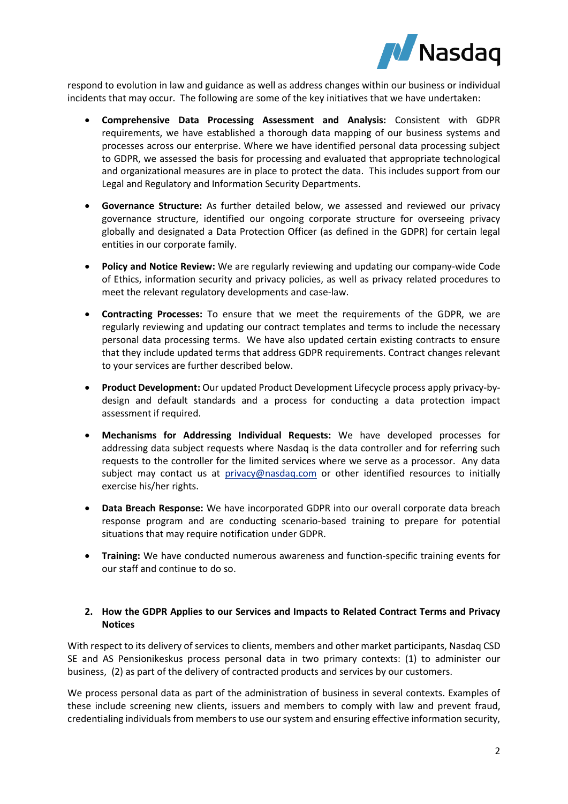

respond to evolution in law and guidance as well as address changes within our business or individual incidents that may occur. The following are some of the key initiatives that we have undertaken:

- **Comprehensive Data Processing Assessment and Analysis:** Consistent with GDPR requirements, we have established a thorough data mapping of our business systems and processes across our enterprise. Where we have identified personal data processing subject to GDPR, we assessed the basis for processing and evaluated that appropriate technological and organizational measures are in place to protect the data. This includes support from our Legal and Regulatory and Information Security Departments.
- **Governance Structure:** As further detailed below, we assessed and reviewed our privacy governance structure, identified our ongoing corporate structure for overseeing privacy globally and designated a Data Protection Officer (as defined in the GDPR) for certain legal entities in our corporate family.
- **Policy and Notice Review:** We are regularly reviewing and updating our company-wide Code of Ethics, information security and privacy policies, as well as privacy related procedures to meet the relevant regulatory developments and case-law.
- **Contracting Processes:** To ensure that we meet the requirements of the GDPR, we are regularly reviewing and updating our contract templates and terms to include the necessary personal data processing terms. We have also updated certain existing contracts to ensure that they include updated terms that address GDPR requirements. Contract changes relevant to your services are further described below.
- **Product Development:** Our updated Product Development Lifecycle process apply privacy-bydesign and default standards and a process for conducting a data protection impact assessment if required.
- **Mechanisms for Addressing Individual Requests:** We have developed processes for addressing data subject requests where Nasdaq is the data controller and for referring such requests to the controller for the limited services where we serve as a processor. Any data subject may contact us at [privacy@nasdaq.com](mailto:privacy@nasdaq.com) or other identified resources to initially exercise his/her rights.
- **Data Breach Response:** We have incorporated GDPR into our overall corporate data breach response program and are conducting scenario-based training to prepare for potential situations that may require notification under GDPR.
- **Training:** We have conducted numerous awareness and function-specific training events for our staff and continue to do so.

## **2. How the GDPR Applies to our Services and Impacts to Related Contract Terms and Privacy Notices**

With respect to its delivery of services to clients, members and other market participants, Nasdaq CSD SE and AS Pensionikeskus process personal data in two primary contexts: (1) to administer our business, (2) as part of the delivery of contracted products and services by our customers.

We process personal data as part of the administration of business in several contexts. Examples of these include screening new clients, issuers and members to comply with law and prevent fraud, credentialing individuals from members to use our system and ensuring effective information security,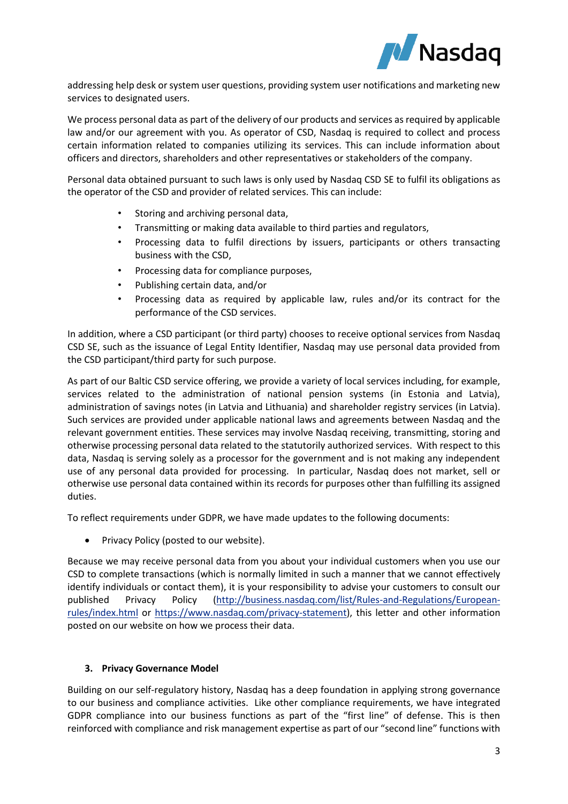

addressing help desk or system user questions, providing system user notifications and marketing new services to designated users.

We process personal data as part of the delivery of our products and services as required by applicable law and/or our agreement with you. As operator of CSD, Nasdaq is required to collect and process certain information related to companies utilizing its services. This can include information about officers and directors, shareholders and other representatives or stakeholders of the company.

Personal data obtained pursuant to such laws is only used by Nasdaq CSD SE to fulfil its obligations as the operator of the CSD and provider of related services. This can include:

- Storing and archiving personal data,
- Transmitting or making data available to third parties and regulators,
- Processing data to fulfil directions by issuers, participants or others transacting business with the CSD,
- Processing data for compliance purposes,
- Publishing certain data, and/or
- Processing data as required by applicable law, rules and/or its contract for the performance of the CSD services.

In addition, where a CSD participant (or third party) chooses to receive optional services from Nasdaq CSD SE, such as the issuance of Legal Entity Identifier, Nasdaq may use personal data provided from the CSD participant/third party for such purpose.

As part of our Baltic CSD service offering, we provide a variety of local services including, for example, services related to the administration of national pension systems (in Estonia and Latvia), administration of savings notes (in Latvia and Lithuania) and shareholder registry services (in Latvia). Such services are provided under applicable national laws and agreements between Nasdaq and the relevant government entities. These services may involve Nasdaq receiving, transmitting, storing and otherwise processing personal data related to the statutorily authorized services. With respect to this data, Nasdaq is serving solely as a processor for the government and is not making any independent use of any personal data provided for processing. In particular, Nasdaq does not market, sell or otherwise use personal data contained within its records for purposes other than fulfilling its assigned duties.

To reflect requirements under GDPR, we have made updates to the following documents:

• Privacy Policy (posted to our website).

Because we may receive personal data from you about your individual customers when you use our CSD to complete transactions (which is normally limited in such a manner that we cannot effectively identify individuals or contact them), it is your responsibility to advise your customers to consult our published Privacy Policy [\(http://business.nasdaq.com/list/Rules-and-Regulations/European](http://business.nasdaq.com/list/Rules-and-Regulations/European-rules/index.html)[rules/index.html](http://business.nasdaq.com/list/Rules-and-Regulations/European-rules/index.html) or [https://www.nasdaq.com/privacy-statement\)](https://www.nasdaq.com/privacy-statement), this letter and other information posted on our website on how we process their data.

## **3. Privacy Governance Model**

Building on our self-regulatory history, Nasdaq has a deep foundation in applying strong governance to our business and compliance activities. Like other compliance requirements, we have integrated GDPR compliance into our business functions as part of the "first line" of defense. This is then reinforced with compliance and risk management expertise as part of our "second line" functions with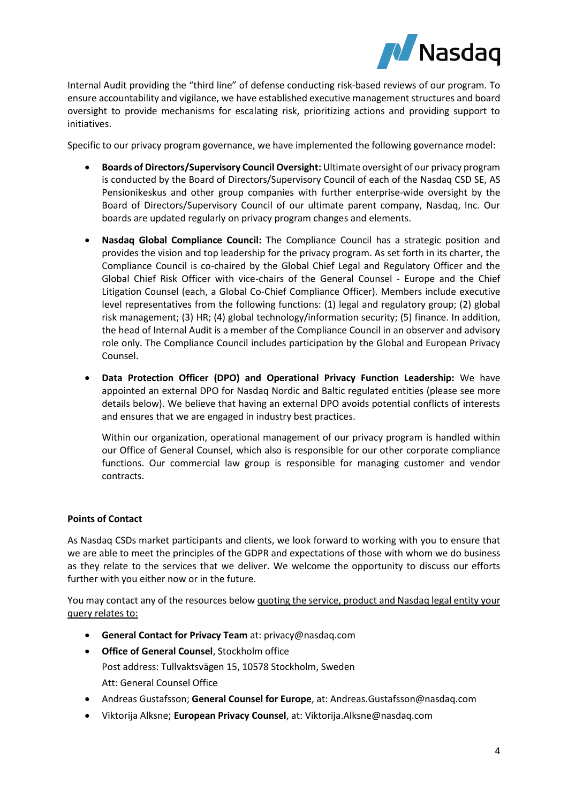

Internal Audit providing the "third line" of defense conducting risk-based reviews of our program. To ensure accountability and vigilance, we have established executive management structures and board oversight to provide mechanisms for escalating risk, prioritizing actions and providing support to initiatives.

Specific to our privacy program governance, we have implemented the following governance model:

- **Boards of Directors/Supervisory Council Oversight:** Ultimate oversight of our privacy program is conducted by the Board of Directors/Supervisory Council of each of the Nasdaq CSD SE, AS Pensionikeskus and other group companies with further enterprise-wide oversight by the Board of Directors/Supervisory Council of our ultimate parent company, Nasdaq, Inc. Our boards are updated regularly on privacy program changes and elements.
- **Nasdaq Global Compliance Council:** The Compliance Council has a strategic position and provides the vision and top leadership for the privacy program. As set forth in its charter, the Compliance Council is co-chaired by the Global Chief Legal and Regulatory Officer and the Global Chief Risk Officer with vice-chairs of the General Counsel - Europe and the Chief Litigation Counsel (each, a Global Co-Chief Compliance Officer). Members include executive level representatives from the following functions: (1) legal and regulatory group; (2) global risk management; (3) HR; (4) global technology/information security; (5) finance. In addition, the head of Internal Audit is a member of the Compliance Council in an observer and advisory role only. The Compliance Council includes participation by the Global and European Privacy Counsel.
- **Data Protection Officer (DPO) and Operational Privacy Function Leadership:** We have appointed an external DPO for Nasdaq Nordic and Baltic regulated entities (please see more details below). We believe that having an external DPO avoids potential conflicts of interests and ensures that we are engaged in industry best practices.

Within our organization, operational management of our privacy program is handled within our Office of General Counsel, which also is responsible for our other corporate compliance functions. Our commercial law group is responsible for managing customer and vendor contracts.

# **Points of Contact**

As Nasdaq CSDs market participants and clients, we look forward to working with you to ensure that we are able to meet the principles of the GDPR and expectations of those with whom we do business as they relate to the services that we deliver. We welcome the opportunity to discuss our efforts further with you either now or in the future.

You may contact any of the resources below quoting the service, product and Nasdaq legal entity your query relates to:

- **General Contact for Privacy Team** at[: privacy@nasdaq.com](mailto:privacy@nasdaq.com)
- **Office of General Counsel**, Stockholm office Post address: Tullvaktsvägen 15, 10578 Stockholm, Sweden Att: General Counsel Office
- Andreas Gustafsson; **General Counsel for Europe**, at: [Andreas.Gustafsson@nasdaq.com](mailto:Andreas.Gustafsson@nasdaq.com)
- Viktorija Alksne; **European Privacy Counsel**, at: Viktorija.Alksne@nasdaq.com